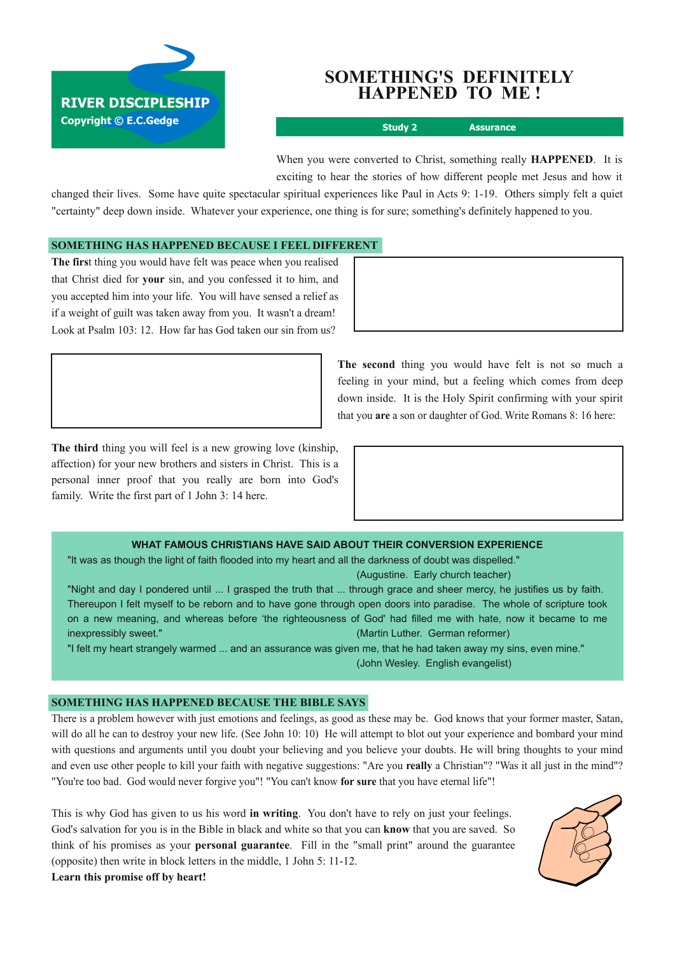

# **SOMETHING'S DEFINITELY HAPPENED TO ME !**

**Study 2 Assurance**

When you were converted to Christ, something really **HAPPENED**. It is exciting to hear the stories of how different people met Jesus and how it

changed their lives. Some have quite spectacular spiritual experiences like Paul in Acts 9: 119. Others simply felt a quiet "certainty" deep down inside. Whatever your experience, one thing is for sure; something's definitely happened to you.

#### **SOMETHING HAS HAPPENED BECAUSE I FEEL DIFFERENT**

**The firs**t thing you would have felt was peace when you realised that Christ died for **your** sin, and you confessed it to him, and you accepted him into your life. You will have sensed a relief as if a weight of guilt was taken away from you. It wasn't a dream! Look at Psalm 103: 12. How far has God taken our sin from us?

> **The second** thing you would have felt is not so much a feeling in your mind, but a feeling which comes from deep down inside. It is the Holy Spirit confirming with your spirit that you **are** a son or daughter of God. Write Romans 8: 16 here:

**The third** thing you will feel is a new growing love (kinship, affection) for your new brothers and sisters in Christ. This is a personal inner proof that you really are born into God's family. Write the first part of 1 John 3: 14 here.

#### **WHAT FAMOUS CHRISTIANS HAVE SAID ABOUT THEIR CONVERSION EXPERIENCE**

"It was as though the light of faith flooded into my heart and all the darkness of doubt was dispelled." (Augustine. Early church teacher)

"Night and day I pondered until ... I grasped the truth that ... through grace and sheer mercy, he justifies us by faith. Thereupon I felt myself to be reborn and to have gone through open doors into paradise. The whole of scripture took on a new meaning, and whereas before 'the righteousness of God' had filled me with hate, now it became to me inexpressibly sweet." (Martin Luther. German reformer)

"I felt my heart strangely warmed ... and an assurance was given me, that he had taken away my sins, even mine." (John Wesley. English evangelist)

## **SOMETHING HAS HAPPENED BECAUSE THE BIBLE SAYS**

There is a problem however with just emotions and feelings, as good as these may be. God knows that your former master, Satan, will do all he can to destroy your new life. (See John 10: 10) He will attempt to blot out your experience and bombard your mind with questions and arguments until you doubt your believing and you believe your doubts. He will bring thoughts to your mind and even use other people to kill your faith with negative suggestions: "Are you **really** a Christian"? "Was it all just in the mind"? "You're too bad. God would never forgive you"! "You can't know **for sure** that you have eternal life"!

This is why God has given to us his word **in writing**. You don't have to rely on just your feelings. God's salvation for you is in the Bible in black and white so that you can **know** that you are saved. So think of his promises as your **personal guarantee**. Fill in the "small print" around the guarantee (opposite) then write in block letters in the middle, 1 John 5: 11-12. **Learn this promise off by heart!**